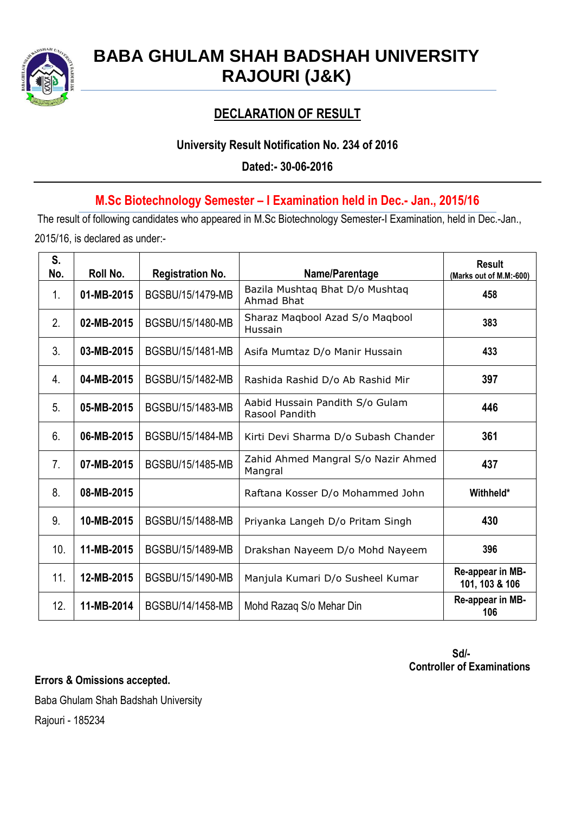

# **BABA GHULAM SHAH BADSHAH UNIVERSITY RAJOURI (J&K)**

## **DECLARATION OF RESULT**

### **University Result Notification No. 234 of 2016**

**Dated:- 30-06-2016**

### **M.Sc Biotechnology Semester – I Examination held in Dec.- Jan., 2015/16**

The result of following candidates who appeared in M.Sc Biotechnology Semester-I Examination, held in Dec.-Jan., 2015/16, is declared as under:-

| S.<br>No.      | Roll No.   | <b>Registration No.</b> | Name/Parentage                                    | <b>Result</b><br>(Marks out of M.M:-600) |
|----------------|------------|-------------------------|---------------------------------------------------|------------------------------------------|
| 1.             | 01-MB-2015 | BGSBU/15/1479-MB        | Bazila Mushtaq Bhat D/o Mushtaq<br>Ahmad Bhat     | 458                                      |
| 2.             | 02-MB-2015 | BGSBU/15/1480-MB        | Sharaz Maqbool Azad S/o Maqbool<br>Hussain        | 383                                      |
| 3.             | 03-MB-2015 | BGSBU/15/1481-MB        | Asifa Mumtaz D/o Manir Hussain                    | 433                                      |
| 4.             | 04-MB-2015 | BGSBU/15/1482-MB        | Rashida Rashid D/o Ab Rashid Mir                  | 397                                      |
| 5.             | 05-MB-2015 | BGSBU/15/1483-MB        | Aabid Hussain Pandith S/o Gulam<br>Rasool Pandith | 446                                      |
| 6.             | 06-MB-2015 | BGSBU/15/1484-MB        | Kirti Devi Sharma D/o Subash Chander              | 361                                      |
| 7 <sub>1</sub> | 07-MB-2015 | BGSBU/15/1485-MB        | Zahid Ahmed Mangral S/o Nazir Ahmed<br>Mangral    | 437                                      |
| 8.             | 08-MB-2015 |                         | Raftana Kosser D/o Mohammed John                  | Withheld*                                |
| 9.             | 10-MB-2015 | BGSBU/15/1488-MB        | Priyanka Langeh D/o Pritam Singh                  | 430                                      |
| 10.            | 11-MB-2015 | BGSBU/15/1489-MB        | Drakshan Nayeem D/o Mohd Nayeem                   | 396                                      |
| 11.            | 12-MB-2015 | BGSBU/15/1490-MB        | Manjula Kumari D/o Susheel Kumar                  | Re-appear in MB-<br>101, 103 & 106       |
| 12.            | 11-MB-2014 | BGSBU/14/1458-MB        | Mohd Razag S/o Mehar Din                          | Re-appear in MB-<br>106                  |

 **Sd/- Controller of Examinations**

**Errors & Omissions accepted.**

Baba Ghulam Shah Badshah University

Rajouri - 185234